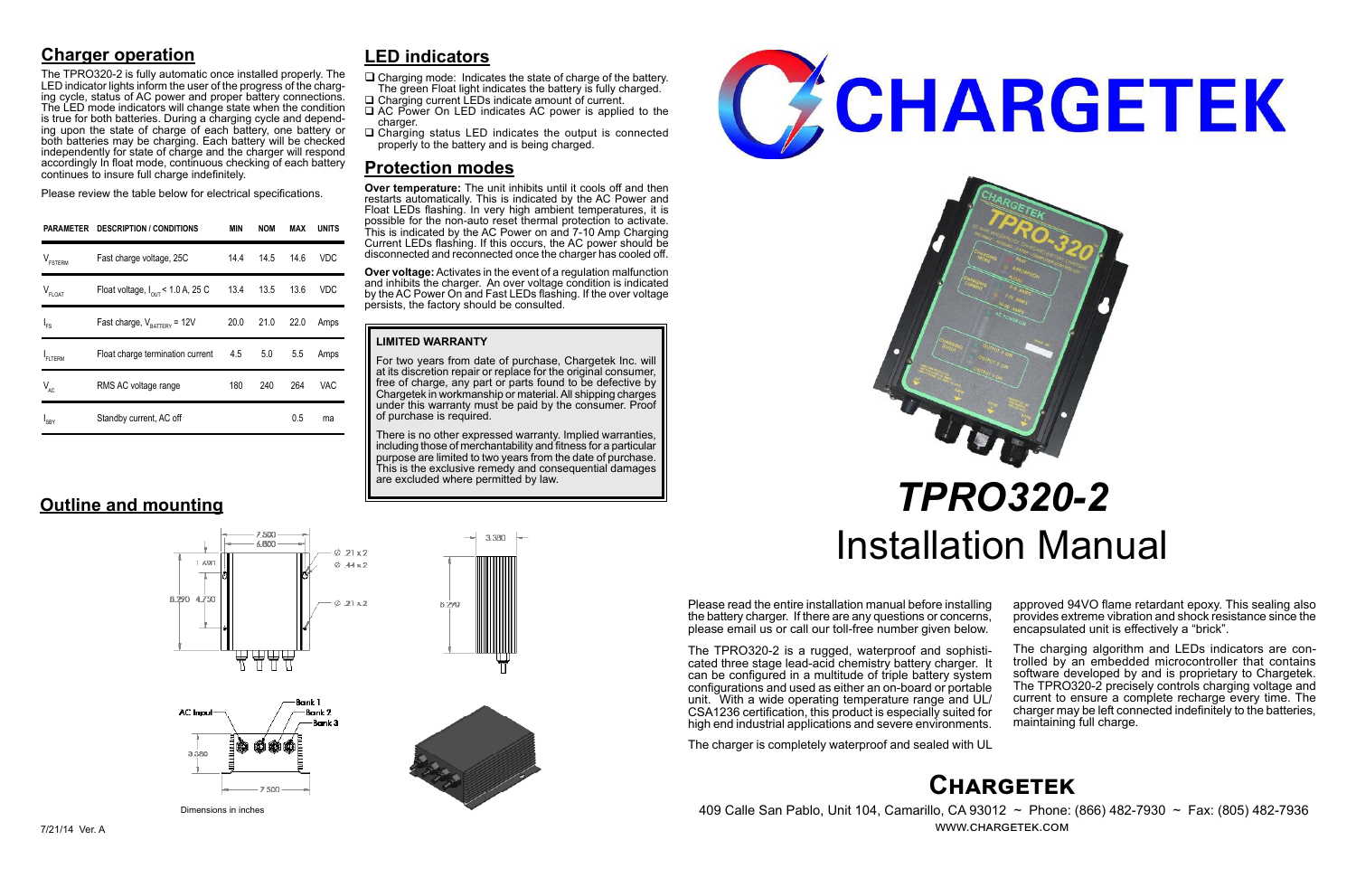## **Chargetek**

 409 Calle San Pablo, Unit 104, Camarillo, CA 93012 ~ Phone: (866) 482-7930 ~ Fax: (805) 482-7936 www.chargetek.com

## **Charger operation**

The TPRO320-2 is fully automatic once installed properly. The LED indicator lights inform the user of the progress of the charging cycle, status of AC power and proper battery connections. The LED mode indicators will change state when the condition is true for both batteries. During a charging cycle and depending upon the state of charge of each battery, one battery or both batteries may be charging. Each battery will be checked independently for state of charge and the charger will respond accordingly In float mode, continuous checking of each battery continues to insure full charge indefinitely.

Please review the table below for electrical specifications.

Please read the entire installation manual before installing the battery charger. If there are any questions or concerns, please email us or call our toll-free number given below.

The TPRO320-2 is a rugged, waterproof and sophisti- cated three stage lead-acid chemistry battery charger. It can be configured in a multitude of triple battery system configurations and used as either an on-board or portable unit. With a wide operating temperature range and UL/ CSA1236 certification, this product is especially suited for high end industrial applications and severe environments.

There is no other expressed warranty. Implied warranties, including those of merchantability and fitness for a particular purpose are limited to two years from the date of purchase. This is the exclusive remedy and consequential damages are excluded where permitted by law.





The charger is completely waterproof and sealed with UL

approved 94VO flame retardant epoxy. This sealing also provides extreme vibration and shock resistance since the encapsulated unit is effectively a "brick".

- $\Box$  Charging mode: Indicates the state of charge of the battery. The green Float light indicates the battery is fully charged.
- □ Charging current LEDs indicate amount of current. □ AC Power On LED indicates AC power is applied to the
- charger.
- $\Box$  Charging status LED indicates the output is connected properly to the battery and is being charged.

The charging algorithm and LEDs indicators are con- trolled by an embedded microcontroller that contains software developed by and is proprietary to Chargetek. The TPRO320-2 precisely controls charging voltage and current to ensure a complete recharge every time. The charger may be left connected indefinitely to the batteries, maintaining full charge.

# *TPRO320-2* Installation Manual

| <b>PARAMETER</b>    | <b>DESCRIPTION / CONDITIONS</b>               | MIN  | <b>NOM</b> | MAX  | <b>UNITS</b> |
|---------------------|-----------------------------------------------|------|------------|------|--------------|
| $V_{\text{FSTERM}}$ | Fast charge voltage, 25C                      | 14.4 | 14.5       | 14.6 | <b>VDC</b>   |
| $V_{FLOAT}$         | Float voltage, $I_{\text{out}}$ < 1.0 A, 25 C | 13.4 | 13.5       | 13.6 | <b>VDC</b>   |
| $I_{FS}$            | Fast charge, $V_{\text{raffley}} = 12V$       | 20.0 | 21.0       | 22.0 | Amps         |
| FLTERM              | Float charge termination current              | 4.5  | 5.0        | 5.5  | Amps         |
| $V_{AC}$            | RMS AC voltage range                          | 180  | 240        | 264  | VAC          |
| ' <sub>SBY</sub>    | Standby current, AC off                       |      |            | 0.5  | ma           |

#### **LIMITED WARRANTY**

For two years from date of purchase, Chargetek Inc. will at its discretion repair or replace for the original consumer, free of charge, any part or parts found to be defective by Chargetek in workmanship or material. All shipping charges under this warranty must be paid by the consumer. Proof of purchase is required.

## **LED indicators**

## **Protection modes**

**Over temperature:** The unit inhibits until it cools off and then restarts automatically. This is indicated by the AC Power and Float LEDs flashing. In very high ambient temperatures, it is possible for the non-auto reset thermal protection to activate. This is indicated by the AC Power on and 7-10 Amp Charging Current LEDs flashing. If this occurs, the AC power should be disconnected and reconnected once the charger has cooled off.

**Over voltage:** Activates in the event of a regulation malfunction and inhibits the charger. An over voltage condition is indicated by the AC Power On and Fast LEDs flashing. If the over voltage persists, the factory should be consulted.

## **Outline and mounting**